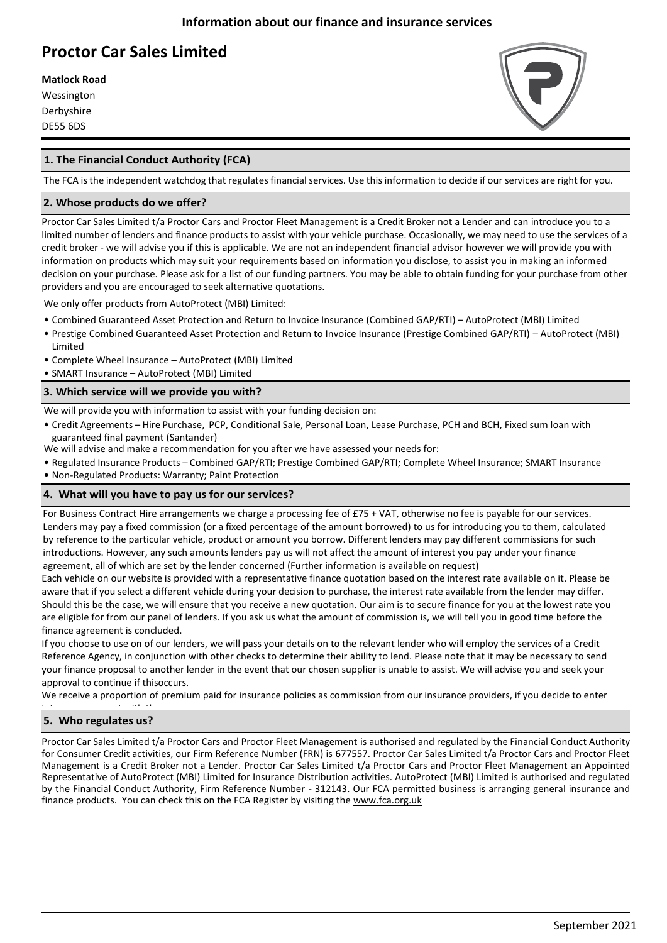# **Proctor Car Sales Limited**

**Matlock Road**

Wessington Derbyshire DE55 6DS



## **1. The Financial Conduct Authority (FCA)**

The FCA is the independent watchdog that regulates financial services. Use this information to decide if our services are right for you.

#### **2. Whose products do we offer?**

Proctor Car Sales Limited t/a Proctor Cars and Proctor Fleet Management is a Credit Broker not a Lender and can introduce you to a limited number of lenders and finance products to assist with your vehicle purchase. Occasionally, we may need to use the services of a credit broker - we will advise you if this is applicable. We are not an independent financial advisor however we will provide you with information on products which may suit your requirements based on information you disclose, to assist you in making an informed decision on your purchase. Please ask for a list of our funding partners. You may be able to obtain funding for your purchase from other providers and you are encouraged to seek alternative quotations.

We only offer products from AutoProtect (MBI) Limited:

- Combined Guaranteed Asset Protection and Return to Invoice Insurance (Combined GAP/RTI) AutoProtect (MBI) Limited
- Prestige Combined Guaranteed Asset Protection and Return to Invoice Insurance (Prestige Combined GAP/RTI) AutoProtect (MBI) Limited
- Complete Wheel Insurance AutoProtect (MBI) Limited
- SMART Insurance AutoProtect (MBI) Limited

#### **3. Which service will we provide you with?**

We will provide you with information to assist with your funding decision on:

- Credit Agreements Hire Purchase, PCP, Conditional Sale, Personal Loan, Lease Purchase, PCH and BCH, Fixed sum loan with guaranteed final payment (Santander)
- •We will advise and make a recommendation for you after we have assessed your needs for:
- Regulated Insurance Products Combined GAP/RTI; Prestige Combined GAP/RTI; Complete Wheel Insurance; SMART Insurance
- Non-Regulated Products: Warranty; Paint Protection

### **4. What will you have to pay us for our services?**

For Business Contract Hire arrangements we charge a processing fee of £75 + VAT, otherwise no fee is payable for our services. Lenders may pay a fixed commission (or a fixed percentage of the amount borrowed) to us for introducing you to them, calculated by reference to the particular vehicle, product or amount you borrow. Different lenders may pay different commissions for such introductions. However, any such amounts lenders pay us will not affect the amount of interest you pay under your finance agreement, all of which are set by the lender concerned (Further information is available on request)

Each vehicle on our website is provided with a representative finance quotation based on the interest rate available on it. Please be aware that if you select a different vehicle during your decision to purchase, the interest rate available from the lender may differ. Should this be the case, we will ensure that you receive a new quotation. Our aim is to secure finance for you at the lowest rate you are eligible for from our panel of lenders. If you ask us what the amount of commission is, we will tell you in good time before the finance agreement is concluded.

If you choose to use on of our lenders, we will pass your details on to the relevant lender who will employ the services of a Credit Reference Agency, in conjunction with other checks to determine their ability to lend. Please note that it may be necessary to send your finance proposal to another lender in the event that our chosen supplier is unable to assist. We will advise you and seek your approval to continue if thisoccurs.

We receive a proportion of premium paid for insurance policies as commission from our insurance providers, if you decide to enter

#### into an agreement with them **5. Who regulates us?**

Proctor Car Sales Limited t/a Proctor Cars and Proctor Fleet Management is authorised and regulated by the Financial Conduct Authority for Consumer Credit activities, our Firm Reference Number (FRN) is 677557. Proctor Car Sales Limited t/a Proctor Cars and Proctor Fleet Management is a Credit Broker not a Lender. Proctor Car Sales Limited t/a Proctor Cars and Proctor Fleet Management an Appointed Representative of AutoProtect (MBI) Limited for Insurance Distribution activities. AutoProtect (MBI) Limited is authorised and regulated by the Financial Conduct Authority, Firm Reference Number - 312143. Our FCA permitted business is arranging general insurance and finance products. You can check this on the FCA Register by visiting th[e www.fca.org.uk](http://www.fca.org.uk/)